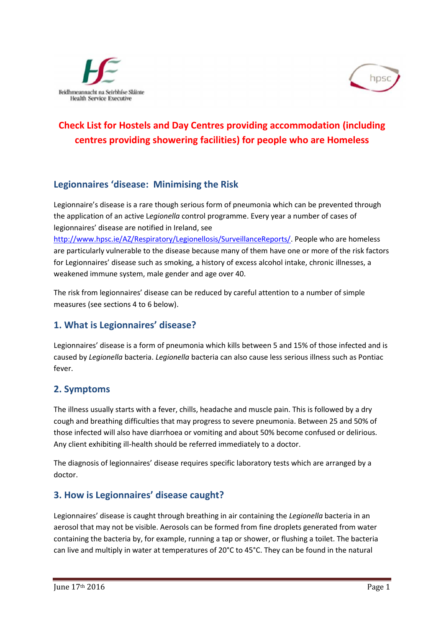



# **Check List for Hostels and Day Centres providing accommodation (including centres providing showering facilities) for people who are Homeless**

#### **Legionnaires 'disease: Minimising the Risk**

Legionnaire's disease is a rare though serious form of pneumonia which can be prevented through the application of an active L*egionella* control programme. Every year a number of cases of legionnaires' disease are notified in Ireland, see

http://www.hpsc.ie/AZ/Respiratory/Legionellosis/SurveillanceReports/. People who are homeless are particularly vulnerable to the disease because many of them have one or more of the risk factors for Legionnaires' disease such as smoking, a history of excess alcohol intake, chronic illnesses, a weakened immune system, male gender and age over 40.

The risk from legionnaires' disease can be reduced by careful attention to a number of simple measures (see sections 4 to 6 below).

## **1. What is Legionnaires' disease?**

Legionnaires' disease is a form of pneumonia which kills between 5 and 15% of those infected and is caused by *Legionella* bacteria. *Legionella* bacteria can also cause less serious illness such as Pontiac fever.

#### **2. Symptoms**

The illness usually starts with a fever, chills, headache and muscle pain. This is followed by a dry cough and breathing difficulties that may progress to severe pneumonia. Between 25 and 50% of those infected will also have diarrhoea or vomiting and about 50% become confused or delirious. Any client exhibiting ill-health should be referred immediately to a doctor.

The diagnosis of legionnaires' disease requires specific laboratory tests which are arranged by a doctor.

#### **3. How is Legionnaires' disease caught?**

Legionnaires' disease is caught through breathing in air containing the *Legionella* bacteria in an aerosol that may not be visible. Aerosols can be formed from fine droplets generated from water containing the bacteria by, for example, running a tap or shower, or flushing a toilet. The bacteria can live and multiply in water at temperatures of 20°C to 45°C. They can be found in the natural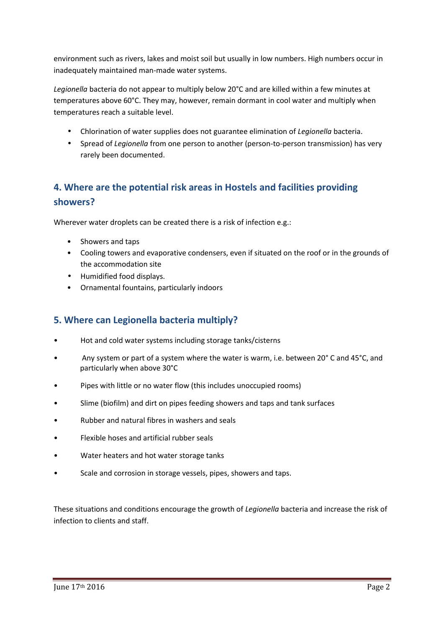environment such as rivers, lakes and moist soil but usually in low numbers. High numbers occur in inadequately maintained man-made water systems.

*Legionella* bacteria do not appear to multiply below 20°C and are killed within a few minutes at temperatures above 60°C. They may, however, remain dormant in cool water and multiply when temperatures reach a suitable level.

- Chlorination of water supplies does not guarantee elimination of *Legionella* bacteria.
- Spread of *Legionella* from one person to another (person-to-person transmission) has very rarely been documented.

## **4. Where are the potential risk areas in Hostels and facilities providing showers?**

Wherever water droplets can be created there is a risk of infection e.g.:

- Showers and taps
- Cooling towers and evaporative condensers, even if situated on the roof or in the grounds of the accommodation site
- Humidified food displays.
- Ornamental fountains, particularly indoors

## **5. Where can Legionella bacteria multiply?**

- Hot and cold water systems including storage tanks/cisterns
- Any system or part of a system where the water is warm, i.e. between 20° C and 45°C, and particularly when above 30°C
- Pipes with little or no water flow (this includes unoccupied rooms)
- Slime (biofilm) and dirt on pipes feeding showers and taps and tank surfaces
- Rubber and natural fibres in washers and seals
- Flexible hoses and artificial rubber seals
- Water heaters and hot water storage tanks
- Scale and corrosion in storage vessels, pipes, showers and taps.

These situations and conditions encourage the growth of *Legionella* bacteria and increase the risk of infection to clients and staff.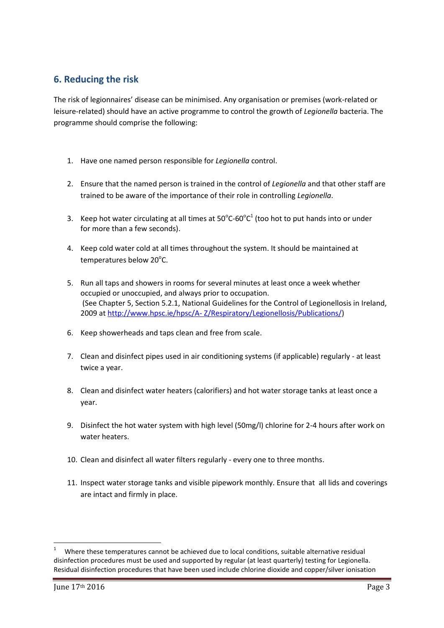## **6. Reducing the risk**

The risk of legionnaires' disease can be minimised. Any organisation or premises (work-related or leisure-related) should have an active programme to control the growth of *Legionella* bacteria. The programme should comprise the following:

- 1. Have one named person responsible for *Legionella* control.
- 2. Ensure that the named person is trained in the control of *Legionella* and that other staff are trained to be aware of the importance of their role in controlling *Legionella*.
- 3. Keep hot water circulating at all times at  $50^{\circ}$ C-60 $^{\circ}$ C<sup>1</sup> (too hot to put hands into or under for more than a few seconds).
- 4. Keep cold water cold at all times throughout the system. It should be maintained at temperatures below  $20^{\circ}$ C.
- 5. Run all taps and showers in rooms for several minutes at least once a week whether occupied or unoccupied, and always prior to occupation. (See Chapter 5, Section 5.2.1, National Guidelines for the Control of Legionellosis in Ireland, 2009 at http://www.hpsc.ie/hpsc/A- Z/Respiratory/Legionellosis/Publications/)
- 6. Keep showerheads and taps clean and free from scale.
- 7. Clean and disinfect pipes used in air conditioning systems (if applicable) regularly at least twice a year.
- 8. Clean and disinfect water heaters (calorifiers) and hot water storage tanks at least once a year.
- 9. Disinfect the hot water system with high level (50mg/l) chlorine for 2-4 hours after work on water heaters.
- 10. Clean and disinfect all water filters regularly every one to three months.
- 11. Inspect water storage tanks and visible pipework monthly. Ensure that all lids and coverings are intact and firmly in place.

<sup>1</sup> Where these temperatures cannot be achieved due to local conditions, suitable alternative residual disinfection procedures must be used and supported by regular (at least quarterly) testing for Legionella. Residual disinfection procedures that have been used include chlorine dioxide and copper/silver ionisation